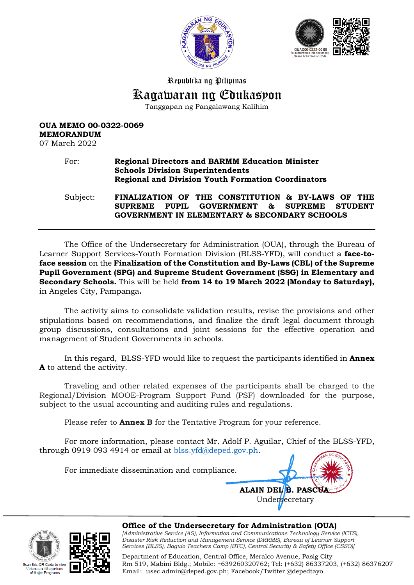



# Republika ng Pilipinas Kagawaran ng Edukasyon

Tanggapan ng Pangalawang Kalihim

## **OUA MEMO 00-0322-0069 MEMORANDUM**

07 March 2022

#### For: **Regional Directors and BARMM Education Minister Schools Division Superintendents Regional and Division Youth Formation Coordinators**

Subject: **FINALIZATION OF THE CONSTITUTION & BY-LAWS OF THE SUPREME PUPIL GOVERNMENT & SUPREME STUDENT GOVERNMENT IN ELEMENTARY & SECONDARY SCHOOLS**

The Office of the Undersecretary for Administration (OUA), through the Bureau of Learner Support Services-Youth Formation Division (BLSS-YFD), will conduct a **face-toface session** on the **Finalization of the Constitution and By-Laws (CBL) of the Supreme Pupil Government (SPG) and Supreme Student Government (SSG) in Elementary and Secondary Schools.** This will be held **from 14 to 19 March 2022 (Monday to Saturday),**  in Angeles City, Pampanga**.**

The activity aims to consolidate validation results, revise the provisions and other stipulations based on recommendations, and finalize the draft legal document through group discussions, consultations and joint sessions for the effective operation and management of Student Governments in schools.

In this regard, BLSS-YFD would like to request the participants identified in **Annex A** to attend the activity.

Traveling and other related expenses of the participants shall be charged to the Regional/Division MOOE-Program Support Fund (PSF) downloaded for the purpose, subject to the usual accounting and auditing rules and regulations.

Please refer to **Annex B** for the Tentative Program for your reference.

For more information, please contact Mr. Adolf P. Aguilar, Chief of the BLSS-YFD, through 0919 093 4914 or email at [blss.yfd@deped.gov.ph.](mailto:blss.yfd@deped.gov.ph)

For immediate dissemination and compliance.







**Office of the Undersecretary for Administration (OUA)** *[Administrative Service (AS), Information and Communications Technology Service (ICTS), Disaster Risk Reduction and Management Service (DRRMS), Bureau of Learner Support Services (BLSS), Baguio Teachers Camp (BTC), Central Security & Safety Office (CSSO)]*

Department of Education, Central Office, Meralco Avenue, Pasig City Rm 519, Mabini Bldg.; Mobile: +639260320762; Tel: (+632) 86337203, (+632) 86376207 Email: [usec.admin@deped.gov.ph;](mailto:usec.admin@deped.gov.ph) Facebook/Twitter @depedtayo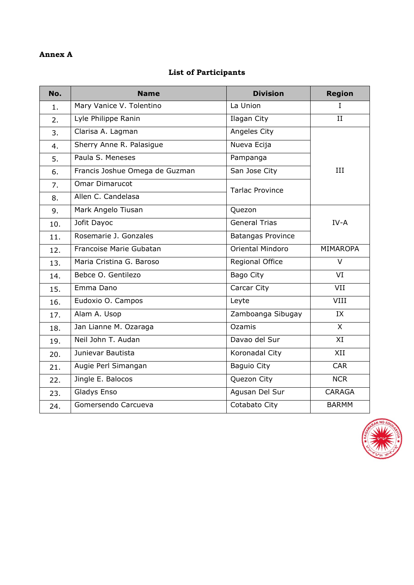#### **Annex A**

#### **List of Participants**

| No.            | <b>Name</b>                    | <b>Division</b>          | <b>Region</b> |
|----------------|--------------------------------|--------------------------|---------------|
| 1.             | Mary Vanice V. Tolentino       | La Union                 | L             |
| 2.             | Lyle Philippe Ranin            | Ilagan City              | II            |
| 3 <sub>1</sub> | Clarisa A. Lagman              | Angeles City             |               |
| 4.             | Sherry Anne R. Palasigue       | Nueva Ecija              |               |
| 5.             | Paula S. Meneses               | Pampanga                 |               |
| 6.             | Francis Joshue Omega de Guzman | San Jose City            | III           |
| 7.             | <b>Omar Dimarucot</b>          | <b>Tarlac Province</b>   |               |
| 8.             | Allen C. Candelasa             |                          |               |
| 9.             | Mark Angelo Tiusan             | Quezon                   |               |
| 10.            | Jofit Dayoc                    | <b>General Trias</b>     | $IV-A$        |
| 11.            | Rosemarie J. Gonzales          | <b>Batangas Province</b> |               |
| 12.            | Francoise Marie Gubatan        | Oriental Mindoro         | MIMAROPA      |
| 13.            | Maria Cristina G. Baroso       | Regional Office          | $\vee$        |
| 14.            | Bebce O. Gentilezo             | <b>Bago City</b>         | VI            |
| 15.            | Emma Dano                      | Carcar City              | VII           |
| 16.            | Eudoxio O. Campos              | Leyte                    | VIII          |
| 17.            | Alam A. Usop                   | Zamboanga Sibugay        | IX            |
| 18.            | Jan Lianne M. Ozaraga          | Ozamis                   | $\mathsf{X}$  |
| 19.            | Neil John T. Audan             | Davao del Sur            | XI            |
| 20.            | Junievar Bautista              | Koronadal City           | XII           |
| 21.            | Augie Perl Simangan            | Baguio City              | <b>CAR</b>    |
| 22.            | Jingle E. Balocos              | Quezon City              | <b>NCR</b>    |
| 23.            | Gladys Enso                    | Agusan Del Sur           | <b>CARAGA</b> |
| 24.            | Gomersendo Carcueva            | Cotabato City            | <b>BARMM</b>  |

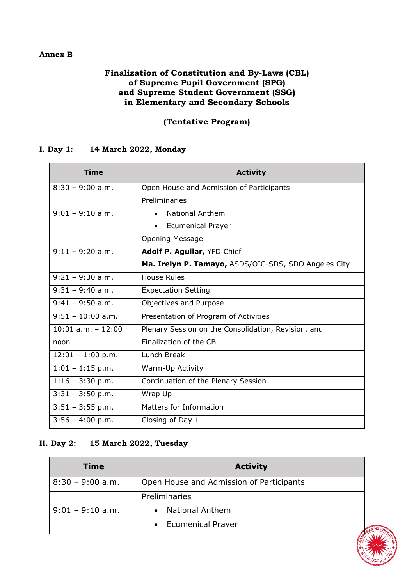#### **Annex B**

#### **Finalization of Constitution and By-Laws (CBL) of Supreme Pupil Government (SPG) and Supreme Student Government (SSG) in Elementary and Secondary Schools**

## **(Tentative Program)**

#### **I. Day 1: 14 March 2022, Monday**

| Time                   | <b>Activity</b>                                      |
|------------------------|------------------------------------------------------|
| $8:30 - 9:00$ a.m.     | Open House and Admission of Participants             |
|                        | Preliminaries                                        |
| $9:01 - 9:10$ a.m.     | National Anthem                                      |
|                        | <b>Ecumenical Prayer</b>                             |
|                        | <b>Opening Message</b>                               |
| $9:11 - 9:20$ a.m.     | Adolf P. Aguilar, YFD Chief                          |
|                        | Ma. Irelyn P. Tamayo, ASDS/OIC-SDS, SDO Angeles City |
| $9:21 - 9:30$ a.m.     | <b>House Rules</b>                                   |
| $9:31 - 9:40$ a.m.     | <b>Expectation Setting</b>                           |
| $9:41 - 9:50$ a.m.     | Objectives and Purpose                               |
| $9:51 - 10:00$ a.m.    | Presentation of Program of Activities                |
| $10:01$ a.m. $- 12:00$ | Plenary Session on the Consolidation, Revision, and  |
| noon                   | Finalization of the CBL                              |
| $12:01 - 1:00$ p.m.    | Lunch Break                                          |
| $1:01 - 1:15$ p.m.     | Warm-Up Activity                                     |
| $1:16 - 3:30$ p.m.     | Continuation of the Plenary Session                  |
| $3:31 - 3:50$ p.m.     | Wrap Up                                              |
| $3:51 - 3:55$ p.m.     | Matters for Information                              |
| $3:56 - 4:00$ p.m.     | Closing of Day 1                                     |

#### **II. Day 2: 15 March 2022, Tuesday**

| Time               | <b>Activity</b>                          |
|--------------------|------------------------------------------|
| $8:30 - 9:00$ a.m. | Open House and Admission of Participants |
|                    | Preliminaries                            |
| $9:01 - 9:10$ a.m. | <b>National Anthem</b>                   |
|                    | <b>Ecumenical Prayer</b><br>$\bullet$    |

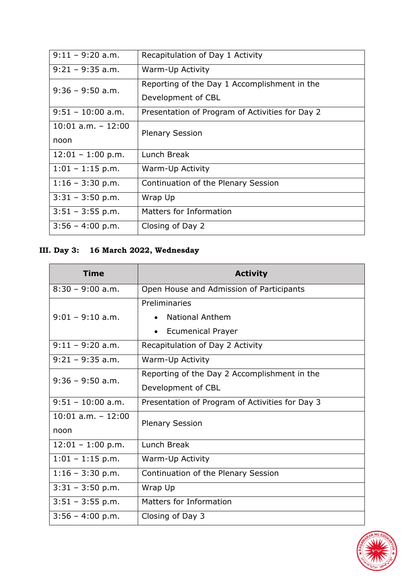| $9:11 - 9:20$ a.m.    | Recapitulation of Day 1 Activity                |
|-----------------------|-------------------------------------------------|
| $9:21 - 9:35$ a.m.    | Warm-Up Activity                                |
| $9:36 - 9:50$ a.m.    | Reporting of the Day 1 Accomplishment in the    |
|                       | Development of CBL                              |
| $9:51 - 10:00$ a.m.   | Presentation of Program of Activities for Day 2 |
| $10:01$ a.m. $-12:00$ | <b>Plenary Session</b>                          |
| noon                  |                                                 |
| $12:01 - 1:00$ p.m.   | Lunch Break                                     |
| $1:01 - 1:15$ p.m.    | Warm-Up Activity                                |
| $1:16 - 3:30$ p.m.    | Continuation of the Plenary Session             |
| $3:31 - 3:50$ p.m.    | Wrap Up                                         |
| $3:51 - 3:55$ p.m.    | Matters for Information                         |
| $3:56 - 4:00$ p.m.    | Closing of Day 2                                |

# **III. Day 3: 16 March 2022, Wednesday**

| <b>Time</b>                   | <b>Activity</b>                                                                               |
|-------------------------------|-----------------------------------------------------------------------------------------------|
| $8:30 - 9:00$ a.m.            | Open House and Admission of Participants                                                      |
| $9:01 - 9:10$ a.m.            | Preliminaries<br><b>National Anthem</b><br>$\bullet$<br><b>Ecumenical Prayer</b><br>$\bullet$ |
| $9:11 - 9:20$ a.m.            | Recapitulation of Day 2 Activity                                                              |
| $9:21 - 9:35$ a.m.            | Warm-Up Activity                                                                              |
| $9:36 - 9:50$ a.m.            | Reporting of the Day 2 Accomplishment in the                                                  |
|                               | Development of CBL                                                                            |
| $9:51 - 10:00$ a.m.           | Presentation of Program of Activities for Day 3                                               |
| $10:01$ a.m. $-12:00$<br>noon | <b>Plenary Session</b>                                                                        |
| $12:01 - 1:00$ p.m.           | Lunch Break                                                                                   |
| $1:01 - 1:15$ p.m.            | Warm-Up Activity                                                                              |
| $1:16 - 3:30$ p.m.            | Continuation of the Plenary Session                                                           |
| $3:31 - 3:50$ p.m.            | Wrap Up                                                                                       |
| $3:51 - 3:55$ p.m.            | Matters for Information                                                                       |
| $3:56 - 4:00$ p.m.            | Closing of Day 3                                                                              |

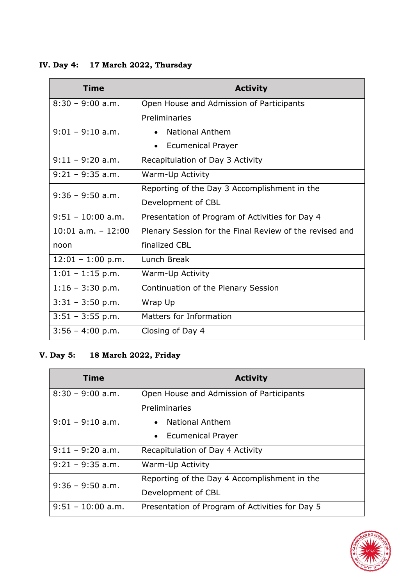**IV. Day 4: 17 March 2022, Thursday**

| <b>Time</b>           | <b>Activity</b>                                         |
|-----------------------|---------------------------------------------------------|
| $8:30 - 9:00$ a.m.    | Open House and Admission of Participants                |
|                       | Preliminaries                                           |
| $9:01 - 9:10$ a.m.    | <b>National Anthem</b>                                  |
|                       | <b>Ecumenical Prayer</b><br>$\bullet$                   |
| $9:11 - 9:20$ a.m.    | Recapitulation of Day 3 Activity                        |
| $9:21 - 9:35$ a.m.    | Warm-Up Activity                                        |
| $9:36 - 9:50$ a.m.    | Reporting of the Day 3 Accomplishment in the            |
|                       | Development of CBL                                      |
| $9:51 - 10:00$ a.m.   | Presentation of Program of Activities for Day 4         |
| $10:01$ a.m. $-12:00$ | Plenary Session for the Final Review of the revised and |
| noon                  | finalized CBL                                           |
| $12:01 - 1:00$ p.m.   | Lunch Break                                             |
| $1:01 - 1:15$ p.m.    | Warm-Up Activity                                        |
| $1:16 - 3:30$ p.m.    | Continuation of the Plenary Session                     |
| $3:31 - 3:50$ p.m.    | Wrap Up                                                 |
| $3:51 - 3:55$ p.m.    | Matters for Information                                 |
| $3:56 - 4:00$ p.m.    | Closing of Day 4                                        |

## **V. Day 5: 18 March 2022, Friday**

| <b>Time</b>         | <b>Activity</b>                                 |
|---------------------|-------------------------------------------------|
| $8:30 - 9:00$ a.m.  | Open House and Admission of Participants        |
|                     | Preliminaries                                   |
| $9:01 - 9:10$ a.m.  | • National Anthem                               |
|                     | <b>Ecumenical Prayer</b><br>$\bullet$           |
| $9:11 - 9:20$ a.m.  | Recapitulation of Day 4 Activity                |
| $9:21 - 9:35$ a.m.  | Warm-Up Activity                                |
| $9:36 - 9:50$ a.m.  | Reporting of the Day 4 Accomplishment in the    |
|                     | Development of CBL                              |
| $9:51 - 10:00$ a.m. | Presentation of Program of Activities for Day 5 |